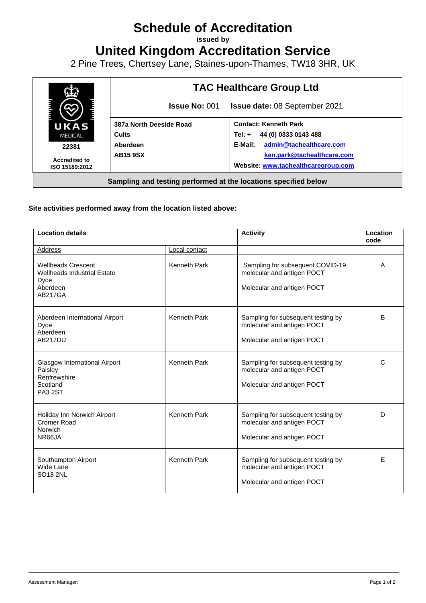## **Schedule of Accreditation**

**issued by**

**United Kingdom Accreditation Service**

2 Pine Trees, Chertsey Lane, Staines-upon-Thames, TW18 3HR, UK



## **Site activities performed away from the location listed above:**

| <b>Location details</b>                                                                               |                     | <b>Activity</b>                                                                                | Location<br>code |
|-------------------------------------------------------------------------------------------------------|---------------------|------------------------------------------------------------------------------------------------|------------------|
| Address                                                                                               | Local contact       |                                                                                                |                  |
| <b>Wellheads Crescent</b><br><b>Wellheads Industrial Estate</b><br>Dyce<br>Aberdeen<br><b>AB217GA</b> | Kenneth Park        | Sampling for subsequent COVID-19<br>molecular and antigen POCT<br>Molecular and antigen POCT   | A                |
| Aberdeen International Airport<br>Dyce<br>Aberdeen<br><b>AB217DU</b>                                  | Kenneth Park        | Sampling for subsequent testing by<br>molecular and antigen POCT<br>Molecular and antigen POCT | B                |
| <b>Glasgow International Airport</b><br>Paisley<br>Renfrewshire<br>Scotland<br><b>PA3 2ST</b>         | Kenneth Park        | Sampling for subsequent testing by<br>molecular and antigen POCT<br>Molecular and antigen POCT | C                |
| Holiday Inn Norwich Airport<br>Cromer Road<br><b>Norwich</b><br>NR66JA                                | <b>Kenneth Park</b> | Sampling for subsequent testing by<br>molecular and antigen POCT<br>Molecular and antigen POCT | D                |
| Southampton Airport<br>Wide Lane<br><b>SO18 2NL</b>                                                   | Kenneth Park        | Sampling for subsequent testing by<br>molecular and antigen POCT<br>Molecular and antigen POCT | Е                |